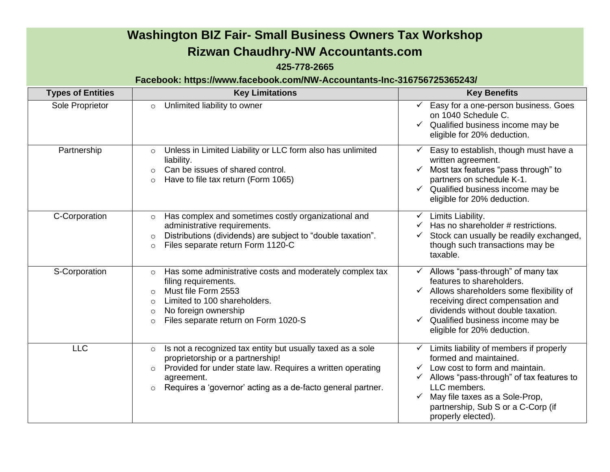## **Washington BIZ Fair- Small Business Owners Tax Workshop Rizwan Chaudhry-NW Accountants.com**

## **425-778-2665**

## **Facebook: https://www.facebook.com/NW-Accountants-Inc-316756725365243/**

| <b>Types of Entities</b> | <b>Key Limitations</b>                                                                                                                                                                                                                                                     | <b>Key Benefits</b>                                                                                                                                                                                                                                                                        |
|--------------------------|----------------------------------------------------------------------------------------------------------------------------------------------------------------------------------------------------------------------------------------------------------------------------|--------------------------------------------------------------------------------------------------------------------------------------------------------------------------------------------------------------------------------------------------------------------------------------------|
| Sole Proprietor          | Unlimited liability to owner<br>$\circ$                                                                                                                                                                                                                                    | Easy for a one-person business. Goes<br>on 1040 Schedule C.<br>$\checkmark$ Qualified business income may be<br>eligible for 20% deduction.                                                                                                                                                |
| Partnership              | Unless in Limited Liability or LLC form also has unlimited<br>$\circ$<br>liability.<br>Can be issues of shared control.<br>$\circ$<br>Have to file tax return (Form 1065)<br>$\circ$                                                                                       | Easy to establish, though must have a<br>written agreement.<br>Most tax features "pass through" to<br>partners on schedule K-1.<br>$\checkmark$ Qualified business income may be<br>eligible for 20% deduction.                                                                            |
| C-Corporation            | Has complex and sometimes costly organizational and<br>$\circ$<br>administrative requirements.<br>Distributions (dividends) are subject to "double taxation".<br>$\circ$<br>Files separate return Form 1120-C<br>$\circ$                                                   | Limits Liability.<br>$\checkmark$<br>Has no shareholder # restrictions.<br>Stock can usually be readily exchanged,<br>though such transactions may be<br>taxable.                                                                                                                          |
| S-Corporation            | Has some administrative costs and moderately complex tax<br>$\circ$<br>filing requirements.<br>Must file Form 2553<br>$\circ$<br>Limited to 100 shareholders.<br>$\bigcirc$<br>No foreign ownership<br>$\circ$<br>Files separate return on Form 1020-S<br>$\circ$          | Allows "pass-through" of many tax<br>$\checkmark$<br>features to shareholders.<br>Allows shareholders some flexibility of<br>receiving direct compensation and<br>dividends without double taxation.<br>Qualified business income may be<br>eligible for 20% deduction.                    |
| <b>LLC</b>               | Is not a recognized tax entity but usually taxed as a sole<br>$\circ$<br>proprietorship or a partnership!<br>Provided for under state law. Requires a written operating<br>$\circ$<br>agreement.<br>Requires a 'governor' acting as a de-facto general partner.<br>$\circ$ | Limits liability of members if properly<br>$\checkmark$<br>formed and maintained.<br>Low cost to form and maintain.<br>$\checkmark$ Allows "pass-through" of tax features to<br>LLC members.<br>May file taxes as a Sole-Prop,<br>partnership, Sub S or a C-Corp (if<br>properly elected). |